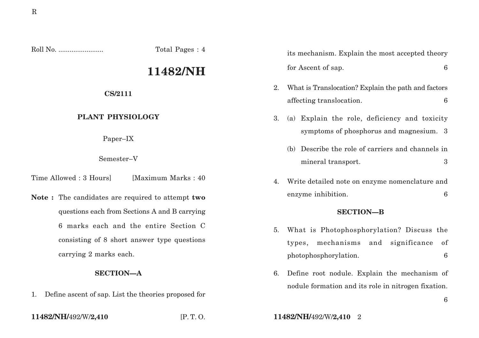Roll No. ........................ Total Pages : 4

# **11482/NH**

#### **CS/2111**

## **PLANT PHYSIOLOGY**

Paper–IX

Semester–V

Time Allowed : 3 Hours [Maximum Marks : 40]

**Note :** The candidates are required to attempt **two** questions each from Sections A and B carrying 6 marks each and the entire Section C consisting of 8 short answer type questions carrying 2 marks each.

## **SECTION—A**

1. Define ascent of sap. List the theories proposed for

its mechanism. Explain the most accepted theory for Ascent of sap. 6

- 2. What is Translocation? Explain the path and factors affecting translocation. 6
- 3. (a) Explain the role, deficiency and toxicity symptoms of phosphorus and magnesium. 3
	- (b) Describe the role of carriers and channels in mineral transport. 3
- 4. Write detailed note on enzyme nomenclature and enzyme inhibition. 6

## **SECTION—B**

- 5. What is Photophosphorylation? Discuss the types, mechanisms and significance of photophosphorylation. 6
- 6. Define root nodule. Explain the mechanism of nodule formation and its role in nitrogen fixation.

**11482/NH/**492/W/**2,410** [P. T. O. **11482/NH/**492/W/**2,410** 2

6